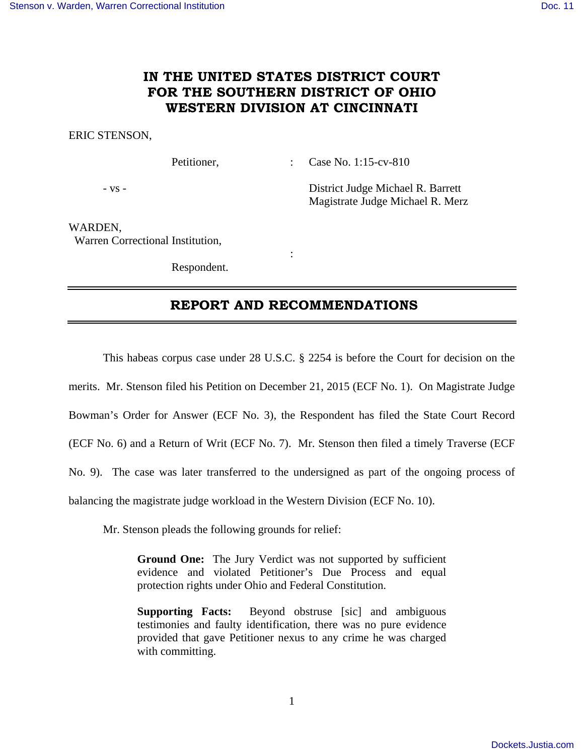# **IN THE UNITED STATES DISTRICT COURT FOR THE SOUTHERN DISTRICT OF OHIO WESTERN DIVISION AT CINCINNATI**

### ERIC STENSON,

Petitioner, : Case No. 1:15-cv-810

- vs - District Judge Michael R. Barrett Magistrate Judge Michael R. Merz

WARDEN, Warren Correctional Institution,

> **Service State State State** Respondent.

## **REPORT AND RECOMMENDATIONS**

This habeas corpus case under 28 U.S.C. § 2254 is before the Court for decision on the

merits. Mr. Stenson filed his Petition on December 21, 2015 (ECF No. 1). On Magistrate Judge

Bowman's Order for Answer (ECF No. 3), the Respondent has filed the State Court Record

(ECF No. 6) and a Return of Writ (ECF No. 7). Mr. Stenson then filed a timely Traverse (ECF

No. 9). The case was later transferred to the undersigned as part of the ongoing process of

balancing the magistrate judge workload in the Western Division (ECF No. 10).

Mr. Stenson pleads the following grounds for relief:

**Ground One:** The Jury Verdict was not supported by sufficient evidence and violated Petitioner's Due Process and equal protection rights under Ohio and Federal Constitution.

**Supporting Facts:** Beyond obstruse [sic] and ambiguous testimonies and faulty identification, there was no pure evidence provided that gave Petitioner nexus to any crime he was charged with committing.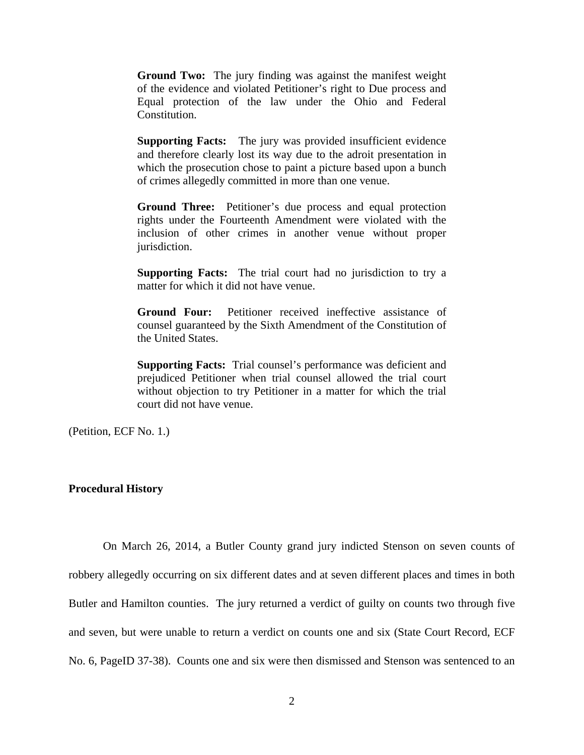**Ground Two:** The jury finding was against the manifest weight of the evidence and violated Petitioner's right to Due process and Equal protection of the law under the Ohio and Federal Constitution.

**Supporting Facts:** The jury was provided insufficient evidence and therefore clearly lost its way due to the adroit presentation in which the prosecution chose to paint a picture based upon a bunch of crimes allegedly committed in more than one venue.

**Ground Three:** Petitioner's due process and equal protection rights under the Fourteenth Amendment were violated with the inclusion of other crimes in another venue without proper jurisdiction.

**Supporting Facts:** The trial court had no jurisdiction to try a matter for which it did not have venue.

**Ground Four:** Petitioner received ineffective assistance of counsel guaranteed by the Sixth Amendment of the Constitution of the United States.

**Supporting Facts:** Trial counsel's performance was deficient and prejudiced Petitioner when trial counsel allowed the trial court without objection to try Petitioner in a matter for which the trial court did not have venue.

(Petition, ECF No. 1.)

## **Procedural History**

 On March 26, 2014, a Butler County grand jury indicted Stenson on seven counts of robbery allegedly occurring on six different dates and at seven different places and times in both Butler and Hamilton counties. The jury returned a verdict of guilty on counts two through five and seven, but were unable to return a verdict on counts one and six (State Court Record, ECF No. 6, PageID 37-38). Counts one and six were then dismissed and Stenson was sentenced to an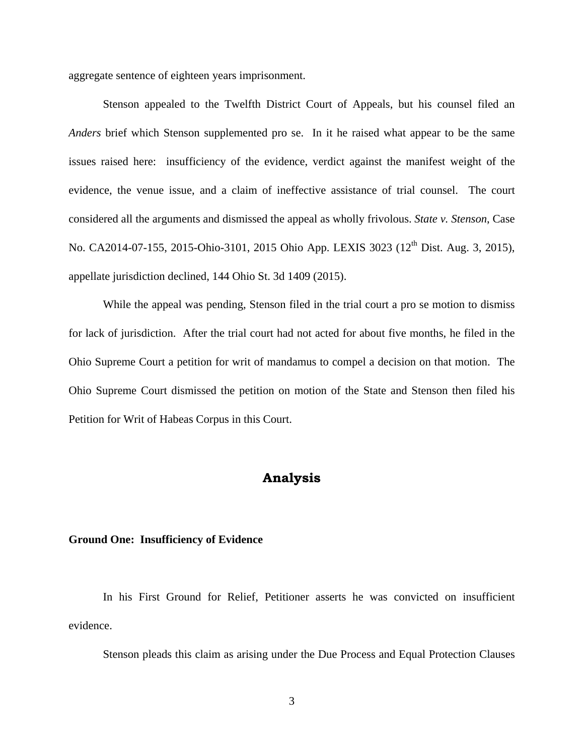aggregate sentence of eighteen years imprisonment.

 Stenson appealed to the Twelfth District Court of Appeals, but his counsel filed an *Anders* brief which Stenson supplemented pro se. In it he raised what appear to be the same issues raised here: insufficiency of the evidence, verdict against the manifest weight of the evidence, the venue issue, and a claim of ineffective assistance of trial counsel. The court considered all the arguments and dismissed the appeal as wholly frivolous. *State v. Stenson*, Case No. CA2014-07-155, 2015-Ohio-3101, 2015 Ohio App. LEXIS 3023 (12<sup>th</sup> Dist. Aug. 3, 2015), appellate jurisdiction declined, 144 Ohio St. 3d 1409 (2015).

 While the appeal was pending, Stenson filed in the trial court a pro se motion to dismiss for lack of jurisdiction. After the trial court had not acted for about five months, he filed in the Ohio Supreme Court a petition for writ of mandamus to compel a decision on that motion. The Ohio Supreme Court dismissed the petition on motion of the State and Stenson then filed his Petition for Writ of Habeas Corpus in this Court.

## **Analysis**

## **Ground One: Insufficiency of Evidence**

 In his First Ground for Relief, Petitioner asserts he was convicted on insufficient evidence.

Stenson pleads this claim as arising under the Due Process and Equal Protection Clauses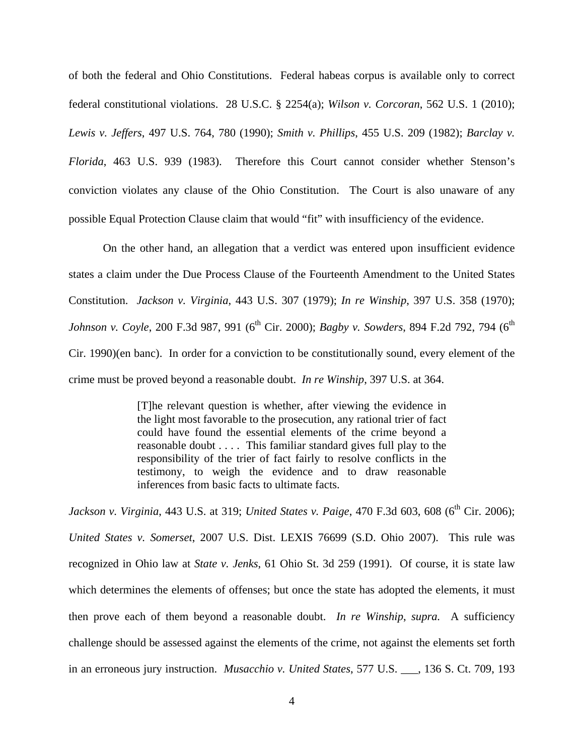of both the federal and Ohio Constitutions. Federal habeas corpus is available only to correct federal constitutional violations. 28 U.S.C. § 2254(a); *Wilson v. Corcoran*, 562 U.S. 1 (2010); *Lewis v. Jeffers*, 497 U.S. 764, 780 (1990); *Smith v. Phillips*, 455 U.S. 209 (1982); *Barclay v. Florida*, 463 U.S. 939 (1983). Therefore this Court cannot consider whether Stenson's conviction violates any clause of the Ohio Constitution. The Court is also unaware of any possible Equal Protection Clause claim that would "fit" with insufficiency of the evidence.

 On the other hand, an allegation that a verdict was entered upon insufficient evidence states a claim under the Due Process Clause of the Fourteenth Amendment to the United States Constitution. *Jackson v. Virginia*, 443 U.S. 307 (1979); *In re Winship*, 397 U.S. 358 (1970); *Johnson v. Coyle*, 200 F.3d 987, 991 (6<sup>th</sup> Cir. 2000); *Bagby v. Sowders*, 894 F.2d 792, 794 (6<sup>th</sup> Cir. 1990)(en banc). In order for a conviction to be constitutionally sound, every element of the crime must be proved beyond a reasonable doubt. *In re Winship*, 397 U.S. at 364.

> [T]he relevant question is whether, after viewing the evidence in the light most favorable to the prosecution, any rational trier of fact could have found the essential elements of the crime beyond a reasonable doubt . . . . This familiar standard gives full play to the responsibility of the trier of fact fairly to resolve conflicts in the testimony, to weigh the evidence and to draw reasonable inferences from basic facts to ultimate facts.

Jackson v. Virginia, 443 U.S. at 319; *United States v. Paige*, 470 F.3d 603, 608 (6<sup>th</sup> Cir. 2006); *United States v. Somerset*, 2007 U.S. Dist. LEXIS 76699 (S.D. Ohio 2007). This rule was recognized in Ohio law at *State v. Jenks*, 61 Ohio St. 3d 259 (1991). Of course, it is state law which determines the elements of offenses; but once the state has adopted the elements, it must then prove each of them beyond a reasonable doubt. *In re Winship*, *supra.* A sufficiency challenge should be assessed against the elements of the crime, not against the elements set forth in an erroneous jury instruction. *Musacchio v. United States*, 577 U.S. \_\_\_, 136 S. Ct. 709, 193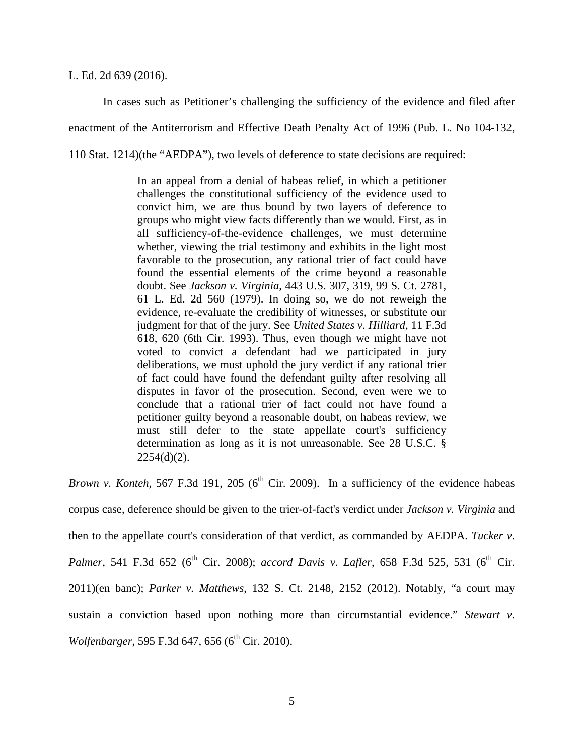#### L. Ed. 2d 639 (2016).

 In cases such as Petitioner's challenging the sufficiency of the evidence and filed after enactment of the Antiterrorism and Effective Death Penalty Act of 1996 (Pub. L. No 104-132, 110 Stat. 1214)(the "AEDPA"), two levels of deference to state decisions are required:

> In an appeal from a denial of habeas relief, in which a petitioner challenges the constitutional sufficiency of the evidence used to convict him, we are thus bound by two layers of deference to groups who might view facts differently than we would. First, as in all sufficiency-of-the-evidence challenges, we must determine whether, viewing the trial testimony and exhibits in the light most favorable to the prosecution, any rational trier of fact could have found the essential elements of the crime beyond a reasonable doubt. See *Jackson v. Virginia*, 443 U.S. 307, 319, 99 S. Ct. 2781, 61 L. Ed. 2d 560 (1979). In doing so, we do not reweigh the evidence, re-evaluate the credibility of witnesses, or substitute our judgment for that of the jury. See *United States v. Hilliard,* 11 F.3d 618, 620 (6th Cir. 1993). Thus, even though we might have not voted to convict a defendant had we participated in jury deliberations, we must uphold the jury verdict if any rational trier of fact could have found the defendant guilty after resolving all disputes in favor of the prosecution. Second, even were we to conclude that a rational trier of fact could not have found a petitioner guilty beyond a reasonable doubt, on habeas review, we must still defer to the state appellate court's sufficiency determination as long as it is not unreasonable. See 28 U.S.C. §  $2254(d)(2)$ .

*Brown v. Konteh*, 567 F.3d 191, 205 ( $6<sup>th</sup>$  Cir. 2009). In a sufficiency of the evidence habeas corpus case, deference should be given to the trier-of-fact's verdict under *Jackson v. Virginia* and then to the appellate court's consideration of that verdict, as commanded by AEDPA. *Tucker v. Palmer*, 541 F.3d 652 (6<sup>th</sup> Cir. 2008); *accord Davis v. Lafler*, 658 F.3d 525, 531 (6<sup>th</sup> Cir. 2011)(en banc); *Parker v. Matthews*, 132 S. Ct. 2148, 2152 (2012). Notably, "a court may sustain a conviction based upon nothing more than circumstantial evidence." *Stewart v. Wolfenbarger*, 595 F.3d 647, 656 (6<sup>th</sup> Cir. 2010).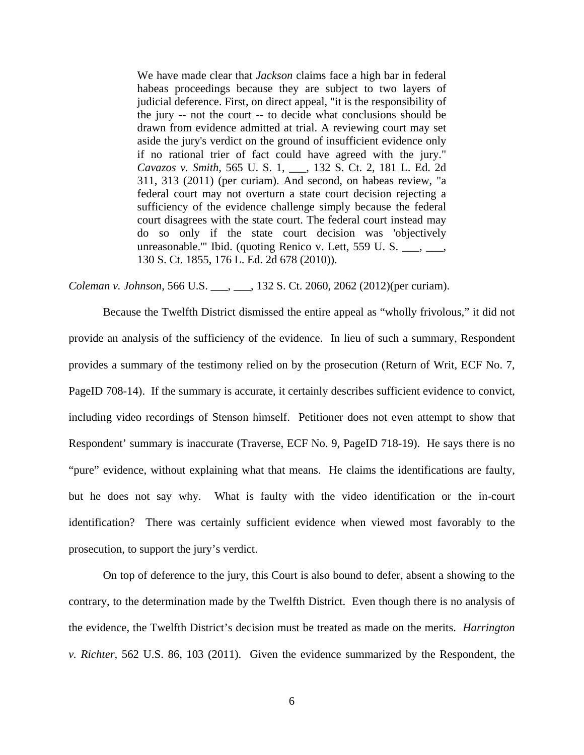We have made clear that *Jackson* claims face a high bar in federal habeas proceedings because they are subject to two layers of judicial deference. First, on direct appeal, "it is the responsibility of the jury -- not the court -- to decide what conclusions should be drawn from evidence admitted at trial. A reviewing court may set aside the jury's verdict on the ground of insufficient evidence only if no rational trier of fact could have agreed with the jury." *Cavazos v. Smith*, 565 U. S. 1, \_\_\_, 132 S. Ct. 2, 181 L. Ed. 2d 311, 313 (2011) (per curiam). And second, on habeas review, "a federal court may not overturn a state court decision rejecting a sufficiency of the evidence challenge simply because the federal court disagrees with the state court. The federal court instead may do so only if the state court decision was 'objectively unreasonable.'" Ibid. (quoting Renico v. Lett, 559 U. S. \_\_\_, \_\_\_, 130 S. Ct. 1855, 176 L. Ed. 2d 678 (2010)).

*Coleman v. Johnson*, 566 U.S. \_\_\_, \_\_\_, 132 S. Ct. 2060, 2062 (2012)(per curiam).

 Because the Twelfth District dismissed the entire appeal as "wholly frivolous," it did not provide an analysis of the sufficiency of the evidence. In lieu of such a summary, Respondent provides a summary of the testimony relied on by the prosecution (Return of Writ, ECF No. 7, PageID 708-14). If the summary is accurate, it certainly describes sufficient evidence to convict, including video recordings of Stenson himself. Petitioner does not even attempt to show that Respondent' summary is inaccurate (Traverse, ECF No. 9, PageID 718-19). He says there is no "pure" evidence, without explaining what that means. He claims the identifications are faulty, but he does not say why. What is faulty with the video identification or the in-court identification? There was certainly sufficient evidence when viewed most favorably to the prosecution, to support the jury's verdict.

 On top of deference to the jury, this Court is also bound to defer, absent a showing to the contrary, to the determination made by the Twelfth District. Even though there is no analysis of the evidence, the Twelfth District's decision must be treated as made on the merits. *Harrington v. Richter*, 562 U.S. 86, 103 (2011). Given the evidence summarized by the Respondent, the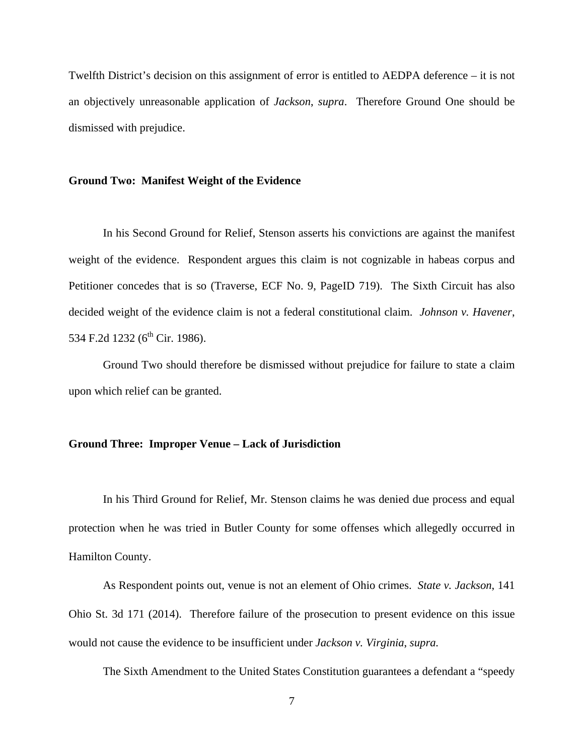Twelfth District's decision on this assignment of error is entitled to AEDPA deference – it is not an objectively unreasonable application of *Jackson*, *supra*. Therefore Ground One should be dismissed with prejudice.

### **Ground Two: Manifest Weight of the Evidence**

 In his Second Ground for Relief, Stenson asserts his convictions are against the manifest weight of the evidence. Respondent argues this claim is not cognizable in habeas corpus and Petitioner concedes that is so (Traverse, ECF No. 9, PageID 719). The Sixth Circuit has also decided weight of the evidence claim is not a federal constitutional claim. *Johnson v. Havener*, 534 F.2d 1232 (6<sup>th</sup> Cir. 1986).

 Ground Two should therefore be dismissed without prejudice for failure to state a claim upon which relief can be granted.

## **Ground Three: Improper Venue – Lack of Jurisdiction**

 In his Third Ground for Relief, Mr. Stenson claims he was denied due process and equal protection when he was tried in Butler County for some offenses which allegedly occurred in Hamilton County.

 As Respondent points out, venue is not an element of Ohio crimes. *State v. Jackson*, 141 Ohio St. 3d 171 (2014). Therefore failure of the prosecution to present evidence on this issue would not cause the evidence to be insufficient under *Jackson v. Virginia*, *supra.*

The Sixth Amendment to the United States Constitution guarantees a defendant a "speedy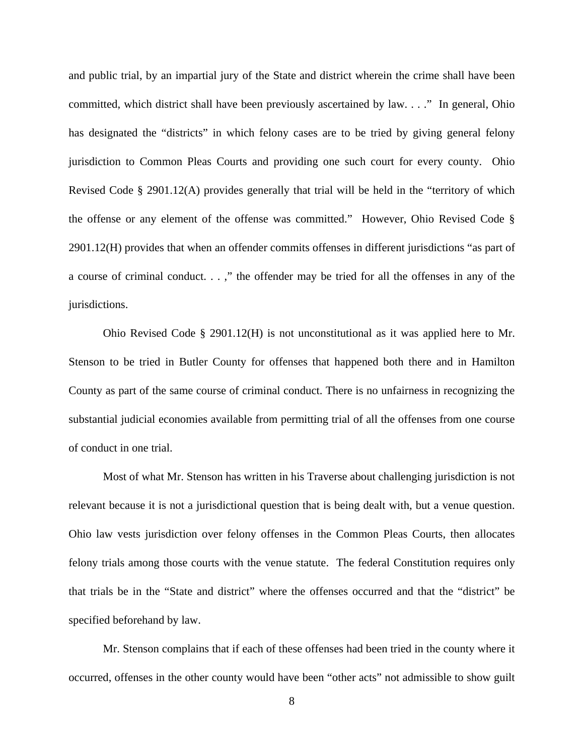and public trial, by an impartial jury of the State and district wherein the crime shall have been committed, which district shall have been previously ascertained by law. . . ." In general, Ohio has designated the "districts" in which felony cases are to be tried by giving general felony jurisdiction to Common Pleas Courts and providing one such court for every county. Ohio Revised Code § 2901.12(A) provides generally that trial will be held in the "territory of which the offense or any element of the offense was committed." However, Ohio Revised Code § 2901.12(H) provides that when an offender commits offenses in different jurisdictions "as part of a course of criminal conduct. . . ," the offender may be tried for all the offenses in any of the jurisdictions.

 Ohio Revised Code § 2901.12(H) is not unconstitutional as it was applied here to Mr. Stenson to be tried in Butler County for offenses that happened both there and in Hamilton County as part of the same course of criminal conduct. There is no unfairness in recognizing the substantial judicial economies available from permitting trial of all the offenses from one course of conduct in one trial.

 Most of what Mr. Stenson has written in his Traverse about challenging jurisdiction is not relevant because it is not a jurisdictional question that is being dealt with, but a venue question. Ohio law vests jurisdiction over felony offenses in the Common Pleas Courts, then allocates felony trials among those courts with the venue statute. The federal Constitution requires only that trials be in the "State and district" where the offenses occurred and that the "district" be specified beforehand by law.

 Mr. Stenson complains that if each of these offenses had been tried in the county where it occurred, offenses in the other county would have been "other acts" not admissible to show guilt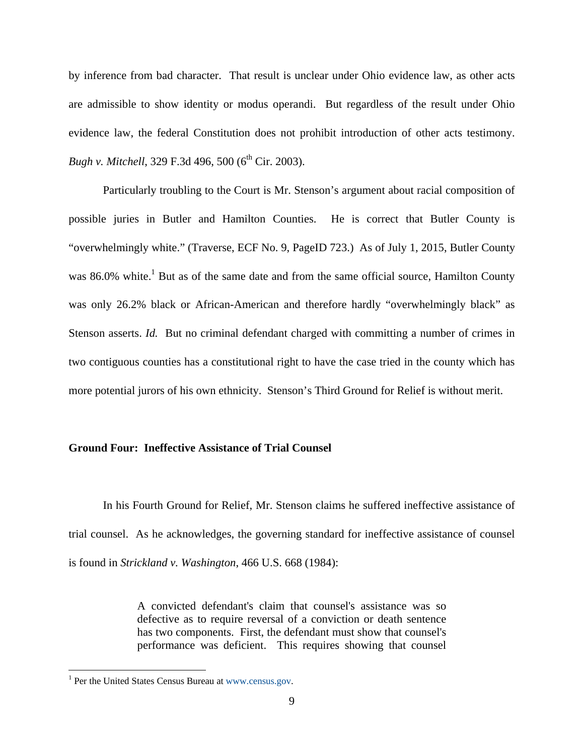by inference from bad character. That result is unclear under Ohio evidence law, as other acts are admissible to show identity or modus operandi. But regardless of the result under Ohio evidence law, the federal Constitution does not prohibit introduction of other acts testimony. *Bugh v. Mitchell*, 329 F.3d 496, 500 (6<sup>th</sup> Cir. 2003).

 Particularly troubling to the Court is Mr. Stenson's argument about racial composition of possible juries in Butler and Hamilton Counties. He is correct that Butler County is "overwhelmingly white." (Traverse, ECF No. 9, PageID 723.) As of July 1, 2015, Butler County was 86.0% white.<sup>1</sup> But as of the same date and from the same official source, Hamilton County was only 26.2% black or African-American and therefore hardly "overwhelmingly black" as Stenson asserts. *Id.* But no criminal defendant charged with committing a number of crimes in two contiguous counties has a constitutional right to have the case tried in the county which has more potential jurors of his own ethnicity. Stenson's Third Ground for Relief is without merit.

## **Ground Four: Ineffective Assistance of Trial Counsel**

In his Fourth Ground for Relief, Mr. Stenson claims he suffered ineffective assistance of trial counsel. As he acknowledges, the governing standard for ineffective assistance of counsel is found in *Strickland v. Washington*, 466 U.S. 668 (1984):

> A convicted defendant's claim that counsel's assistance was so defective as to require reversal of a conviction or death sentence has two components. First, the defendant must show that counsel's performance was deficient. This requires showing that counsel

 $\overline{a}$ 

<sup>&</sup>lt;sup>1</sup> Per the United States Census Bureau at www.census.gov.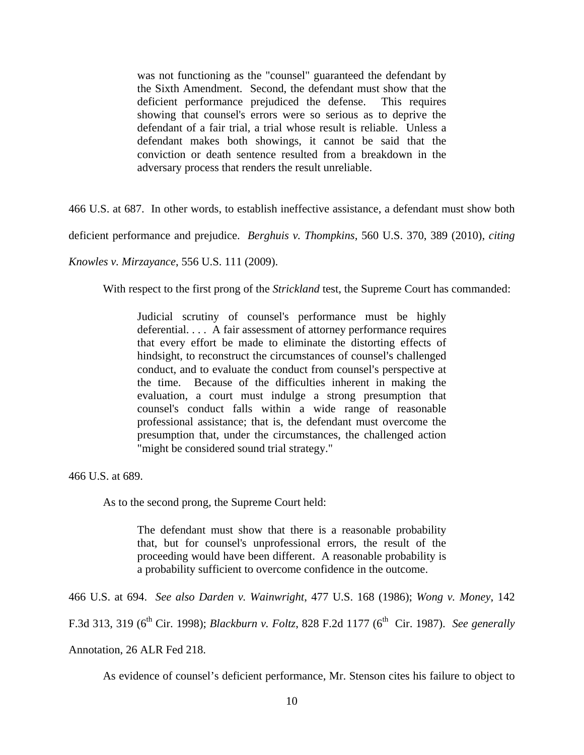was not functioning as the "counsel" guaranteed the defendant by the Sixth Amendment. Second, the defendant must show that the deficient performance prejudiced the defense. This requires showing that counsel's errors were so serious as to deprive the defendant of a fair trial, a trial whose result is reliable. Unless a defendant makes both showings, it cannot be said that the conviction or death sentence resulted from a breakdown in the adversary process that renders the result unreliable.

466 U.S. at 687. In other words, to establish ineffective assistance, a defendant must show both

deficient performance and prejudice. *Berghuis v. Thompkins*, 560 U.S. 370, 389 (2010), *citing* 

*Knowles v. Mirzayance*, 556 U.S. 111 (2009).

With respect to the first prong of the *Strickland* test, the Supreme Court has commanded:

Judicial scrutiny of counsel's performance must be highly deferential. . . . A fair assessment of attorney performance requires that every effort be made to eliminate the distorting effects of hindsight, to reconstruct the circumstances of counsel's challenged conduct, and to evaluate the conduct from counsel's perspective at the time. Because of the difficulties inherent in making the evaluation, a court must indulge a strong presumption that counsel's conduct falls within a wide range of reasonable professional assistance; that is, the defendant must overcome the presumption that, under the circumstances, the challenged action "might be considered sound trial strategy."

466 U.S. at 689.

As to the second prong, the Supreme Court held:

The defendant must show that there is a reasonable probability that, but for counsel's unprofessional errors, the result of the proceeding would have been different. A reasonable probability is a probability sufficient to overcome confidence in the outcome.

466 U.S. at 694. *See also Darden v. Wainwright*, 477 U.S. 168 (1986); *Wong v. Money*, 142

F.3d 313, 319 (6th Cir. 1998); *Blackburn v. Foltz*, 828 F.2d 1177 (6th Cir. 1987). *See generally*

Annotation, 26 ALR Fed 218.

As evidence of counsel's deficient performance, Mr. Stenson cites his failure to object to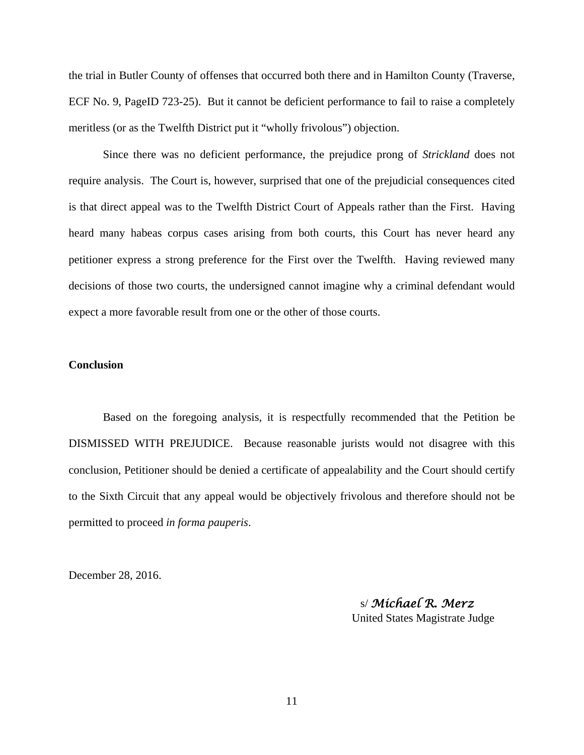the trial in Butler County of offenses that occurred both there and in Hamilton County (Traverse, ECF No. 9, PageID 723-25). But it cannot be deficient performance to fail to raise a completely meritless (or as the Twelfth District put it "wholly frivolous") objection.

 Since there was no deficient performance, the prejudice prong of *Strickland* does not require analysis. The Court is, however, surprised that one of the prejudicial consequences cited is that direct appeal was to the Twelfth District Court of Appeals rather than the First. Having heard many habeas corpus cases arising from both courts, this Court has never heard any petitioner express a strong preference for the First over the Twelfth. Having reviewed many decisions of those two courts, the undersigned cannot imagine why a criminal defendant would expect a more favorable result from one or the other of those courts.

## **Conclusion**

 Based on the foregoing analysis, it is respectfully recommended that the Petition be DISMISSED WITH PREJUDICE. Because reasonable jurists would not disagree with this conclusion, Petitioner should be denied a certificate of appealability and the Court should certify to the Sixth Circuit that any appeal would be objectively frivolous and therefore should not be permitted to proceed *in forma pauperis*.

December 28, 2016.

 s/ *Michael R. Merz* United States Magistrate Judge